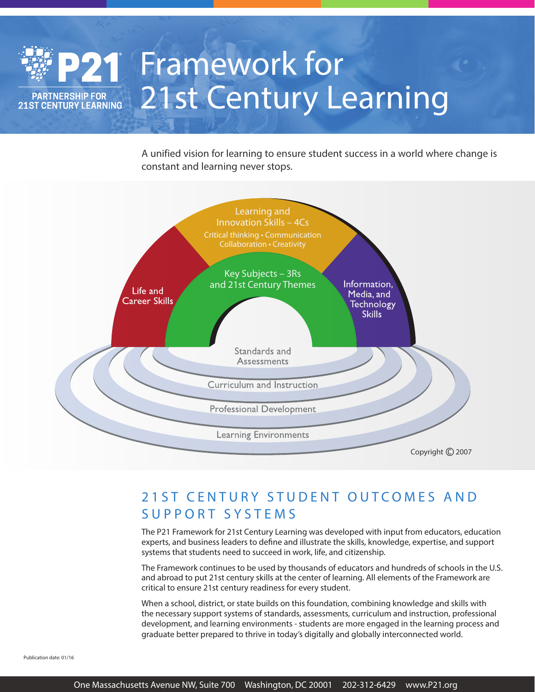# 21 Framework for 21st Century Learning **PARTNERSHIP FOR 21ST CENTURY LEARNING**

**Profilling to 21 Framing to 21 State statent success** A unified vision for learning to ensure student success in a world where change is



# 21ST CENTURY STUDENT OUTCOMES AND SUPPORT SYSTEMS

The P21 Framework for 21st Century Learning was developed with input from educators, education experts, and business leaders to define and illustrate the skills, knowledge, expertise, and support systems that students need to succeed in work, life, and citizenship.

The Framework continues to be used by thousands of educators and hundreds of schools in the U.S. and abroad to put 21st century skills at the center of learning. All elements of the Framework are critical to ensure 21st century readiness for every student.

When a school, district, or state builds on this foundation, combining knowledge and skills with the necessary support systems of standards, assessments, curriculum and instruction, professional development, and learning environments - students are more engaged in the learning process and graduate better prepared to thrive in today's digitally and globally interconnected world.

Publication date: 01/16